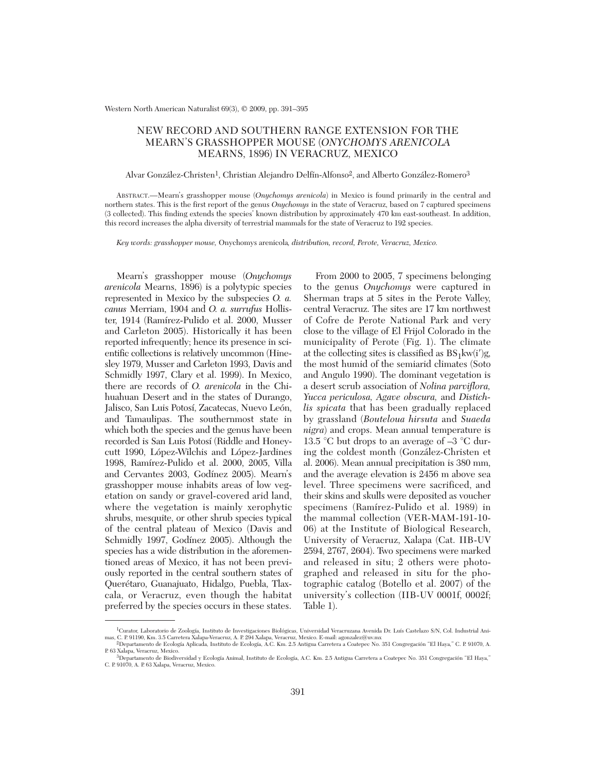## NEW RECORD AND SOUTHERN RANGE EXTENSION FOR THE MEARN'S GRASSHOPPER MOUSE (*ONYCHOMYS ARENICOLA* MEARNS, 1896) IN VERACRUZ, MEXICO

Alvar González-Christen<sup>1</sup>, Christian Alejandro Delfín-Alfonso<sup>2</sup>, and Alberto González-Romero<sup>3</sup>

ABSTRACT.—Mearn's grasshopper mouse (*Onychomys arenicola*) in Mexico is found primarily in the central and northern states. This is the first report of the genus *Onychomys* in the state of Veracruz, based on 7 captured specimens (3 collected). This finding extends the species' known distribution by approximately 470 km east-southeast. In addition, this record increases the alpha diversity of terrestrial mammals for the state of Veracruz to 192 species.

*Key words: grasshopper mouse,* Onychomys arenicola*, distribution, record, Perote, Veracruz, Mexico.*

Mearn's grasshopper mouse (*Onychomys arenicola* Mearns, 1896) is a polytypic species represented in Mexico by the subspecies *O. a. canus* Merriam, 1904 and *O. a. surrufus* Hollister, 1914 (Ramírez-Pulido et al. 2000, Musser and Carleton 2005). Historically it has been reported infrequently; hence its presence in scientific collections is relatively uncommon (Hinesley 1979, Musser and Carleton 1993, Davis and Schmidly 1997, Clary et al. 1999). In Mexico, there are records of *O. arenicola* in the Chihuahuan Desert and in the states of Durango, Jalisco, San Luis Potosí, Zacatecas, Nuevo León, and Tamaulipas. The southernmost state in which both the species and the genus have been recorded is San Luis Potosí (Riddle and Honeycutt 1990, López-Wilchis and López-Jardines 1998, Ramírez-Pulido et al. 2000, 2005, Villa and Cervantes 2003, Godínez 2005). Mearn's grasshopper mouse inhabits areas of low vegetation on sandy or gravel-covered arid land, where the vegetation is mainly xerophytic shrubs, mesquite, or other shrub species typical of the central plateau of Mexico (Davis and Schmidly 1997, Godínez 2005). Although the species has a wide distribution in the aforementioned areas of Mexico, it has not been previously reported in the central southern states of Querétaro, Guanajuato, Hidalgo, Puebla, Tlaxcala, or Veracruz, even though the habitat preferred by the species occurs in these states.

From 2000 to 2005, 7 specimens belonging to the genus *Onychomys* were captured in Sherman traps at 5 sites in the Perote Valley, central Veracruz. The sites are 17 km northwest of Cofre de Perote National Park and very close to the village of El Frijol Colorado in the municipality of Perote (Fig. 1). The climate at the collecting sites is classified as  $BS_1kw(i')g$ , the most humid of the semiarid climates (Soto and Angulo 1990). The dominant vegetation is a desert scrub association of *Nolina parviflora, Yucca periculosa, Agave obscura,* and *Distichlis spicata* that has been gradually replaced by grassland (*Bouteloua hirsuta* and *Suaeda nigra*) and crops. Mean annual temperature is 13.5 °C but drops to an average of –3 °C during the coldest month (González-Christen et al. 2006). Mean annual precipitation is 380 mm, and the average elevation is 2456 m above sea level. Three specimens were sacrificed, and their skins and skulls were deposited as voucher specimens (Ramírez-Pulido et al. 1989) in the mammal collection (VER-MAM-191-10- 06) at the Institute of Biological Research, University of Veracruz, Xalapa (Cat. IIB-UV 2594, 2767, 2604). Two specimens were marked and released in situ; 2 others were photographed and released in situ for the photographic catalog (Botello et al. 2007) of the university's collection (IIB-UV 0001f, 0002f; Table 1).

<sup>&</sup>lt;sup>1</sup>Curator, Laboratorio de Zoología, Instituto de Investigaciones Biológicas, Universidad Veracruzana Avenida Dr. Luís Castelazo S/N, Col. Industrial Animas, C. P. 91190, Km. 3.5 Carretera Xalapa-Veracruz, A. P. 294 Xalapa, Veracruz, Mexico. E-mail: agonzalez@uv.mx<br>2Departamento de Ecología Aplicada, Instituto de Ecología, A.C. Km. 2.5 Antigua Carretera a Coatepec No. 351

P. 63 Xalapa, Veracruz, Mexico.

<sup>3</sup>Departamento de Biodiversidad y Ecología Animal, Instituto de Ecología, A.C. Km. 2.5 Antigua Carretera a Coatepec No. 351 Congregación "El Haya," C. P. 91070, A. P. 63 Xalapa, Veracruz, Mexico.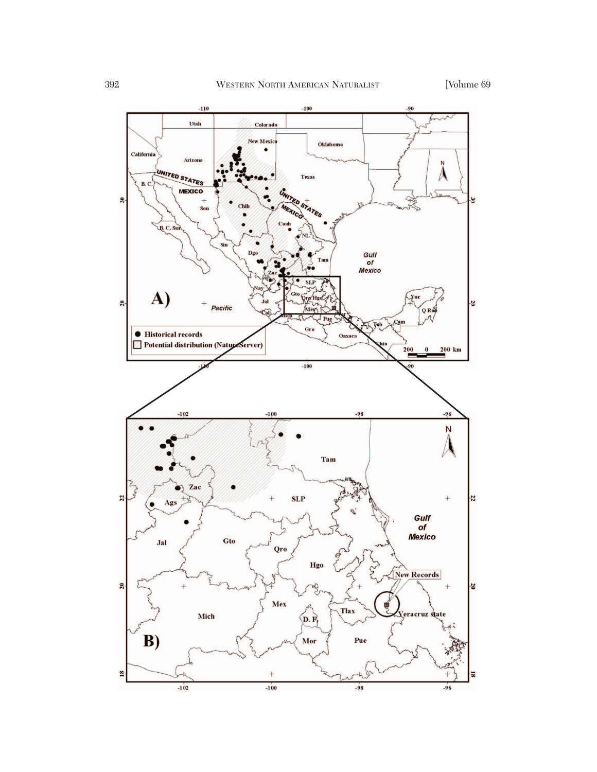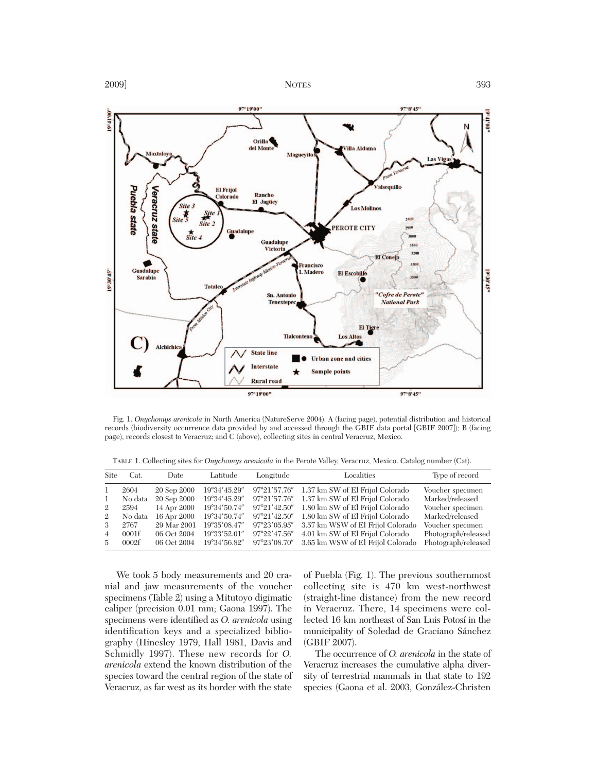

Fig. 1. *Onychomys arenicola* in North America (NatureServe 2004): A (facing page), potential distribution and historical records (biodiversity occurrence data provided by and accessed through the GBIF data portal [GBIF 2007]); B (facing page), records closest to Veracruz; and C (above), collecting sites in central Veracruz, Mexico.

TABLE 1. Collecting sites for *Onychomys arenicola* in the Perote Valley, Veracruz, Mexico. Catalog number (Cat).

| Site                                                      | Cat.                                                | Date                                                                                   | Latitude                                                                                     | Longitude                                                                                                        | Localities                                                                                                                                                                                                            | Type of record                                                                                                        |
|-----------------------------------------------------------|-----------------------------------------------------|----------------------------------------------------------------------------------------|----------------------------------------------------------------------------------------------|------------------------------------------------------------------------------------------------------------------|-----------------------------------------------------------------------------------------------------------------------------------------------------------------------------------------------------------------------|-----------------------------------------------------------------------------------------------------------------------|
| $\mathbf{1}$<br>2<br>2<br>$\mathcal{E}$<br>$\overline{4}$ | 2604<br>No data<br>2594<br>No data<br>2767<br>0001f | 20 Sep 2000<br>20 Sep 2000<br>14 Apr 2000<br>16 Apr 2000<br>29 Mar 2001<br>06 Oct 2004 | 19°34'45.29"<br>19°34'45.29"<br>19°34'50.74"<br>19°34'50.74"<br>19°35'08.47"<br>19°33'52.01" | 97°21'57.76"<br>97°21'57.76"<br>$97^{\circ}21'42.50''$<br>$97^{\circ}21'42.50''$<br>97°23'05.95"<br>97°22'47.56" | 1.37 km SW of El Frijol Colorado<br>1.37 km SW of El Frijol Colorado<br>1.80 km SW of El Frijol Colorado<br>1.80 km SW of El Frijol Colorado<br>3.57 km WSW of El Frijol Colorado<br>4.01 km SW of El Frijol Colorado | Voucher specimen<br>Marked/released<br>Voucher specimen<br>Marked/released<br>Voucher specimen<br>Photograph/released |
| 5.                                                        | 0002f                                               | 06 Oct 2004                                                                            | 19°34'56.82"                                                                                 | 97°23'08.70"                                                                                                     | 3.65 km WSW of El Frijol Colorado                                                                                                                                                                                     | Photograph/released                                                                                                   |

We took 5 body measurements and 20 cranial and jaw measurements of the voucher specimens (Table 2) using a Mitutoyo digimatic caliper (precision 0.01 mm; Gaona 1997). The specimens were identified as *O. arenicola* using identification keys and a specialized bibliography (Hinesley 1979, Hall 1981, Davis and Schmidly 1997). These new records for *O. arenicola* extend the known distribution of the species toward the central region of the state of Veracruz, as far west as its border with the state

of Puebla (Fig. 1). The previous southernmost collecting site is 470 km west-northwest (straight-line distance) from the new record in Veracruz. There, 14 specimens were collected 16 km northeast of San Luis Potosí in the municipality of Soledad de Graciano Sánchez (GBIF 2007).

The occurrence of *O. arenicola* in the state of Veracruz increases the cumulative alpha diversity of terrestrial mammals in that state to 192 species (Gaona et al. 2003, González-Christen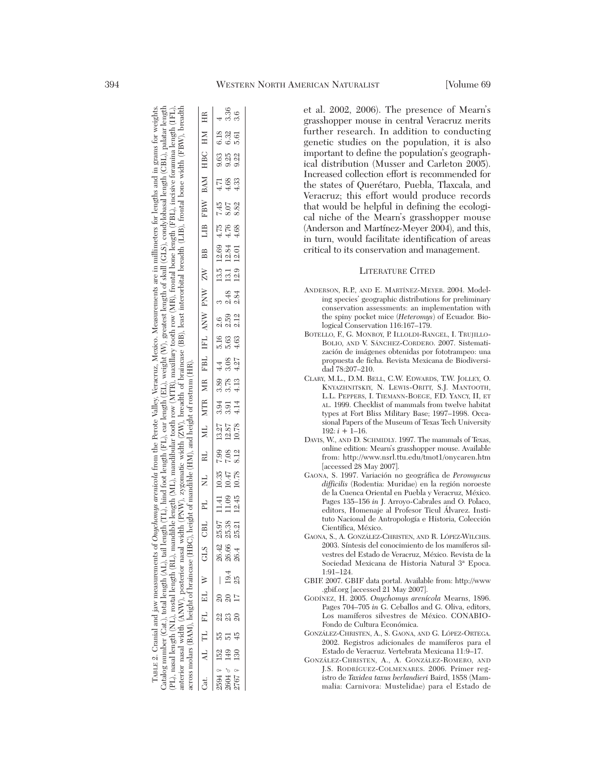TABLE 2. Cranial and jaw measurements of *Onychomys arenicola* from the Perote Valley, Veracruz, Mexico. Measurements are in millimeters for lengths and in grams for weights.<br>Catalog number (Cat.), total length (AL), tail 3.36 TABLE 2. Cranial and jaw measurements of *Onychomys arenicola* from the Perote Valley, Veracruz, Mexico. Measurements are in millimeters for lengths and in grams for weights. Catalog number (Cat.), total length (AL), tail length (TL), hind foot length (FL), ear length (EL), weight (W), greatest length of skull (GLS), condylobasal length (CBL), palatar length (PL), nasal length (NL), rostal length (RL), mandible length (ML), mandibular tooth row (MTR), maxillary tooth row (MR), frontal bone length (FBL), incisive foramina length (IFL), anterior nasal width (ANW), posterior nasal width (PNW), zygomatic width (ZW), breadth of braincase (BB), least interorbital breadth (LIB), frontal bone width (FBW), breadth (PL), nasal length (NL), rostal length (RL), mandible length (ML), mandibular tooth row (MTR), maxillary tooth row (MR), frontal bone length (FBL), incisive foramina length (IFDL), anterior nasal width (ANW), posterior nasal width (PNW), zygomatic width (ZW), breadth of braincase (BB), least interorbital breadth (LIB), frontal bone width (FBW), breadth 2604 *♂* 149 51 23 20 19.4 26.66 25.38 11.09 10.47 7.08 12.87 3.91 3.78 3.08 5.63 2.59 2.48 13.1 12.84 4.76 8.07 4.68 9.25 6.32 3.36  $3.6$ HR Cat. AL TL FL EL W GLS CBL PL NL RL ML MTR MR FBL IFL ANW PNW ZW BB LIB FBW BAM HBC HM HR 2767 *♀* 130 45 20 17 25 26.4 25.21 12.45 10.78 8.12 10.78 4.14 4.13 4.27 4.63 2.12 2.84 12.9 12.01 4.68 8.82 4.33 9.22 5.61 3.62594 *♀* 152 55 22 20 — 26.42 25.97 11.41 10.35 7.99 13.27 3.94 3.89 4.4 5.16 2.6 3 13.5 12.69 4.75 7.45 4.71 9.63 6.18 4  $6.18$ <br> $6.32$ HM 5.61 **HBC**  $9.63$  $\frac{9.25}{9.22}$ **BAM**  $\frac{17}{4}$ .68<br> $\frac{43}{4}$ **FBW**  $7.45$ <br>8.07 8.82  $4.75$ <br> $4.76$  $LIB$ 4.68  $12.69$ <br> $12.84$ <br> $12.01$ **BB**  $\frac{13.5}{13.1}$ XX PNW ာ 48<br>က လ လ က<br>က လ လ  $\Delta$  NW  $\begin{array}{c} 2.6 \\ 2.59 \\ 2.12 \end{array}$ IFL  $\frac{5.16}{5.63}$ 4.63 MR FBL 3.08 4.27 across molars (BAM), height of braincase (HBC), height of mandible (HM), and height of rostrum (HR).  $4.4\,$ across molars (BAM), height of braincase (HBC), height of mandible (HM), and height of rostrum (HR). 3.89 3.78 4.13 **MTR** 3.94 4.14 3.91  $\begin{array}{c} 13.27 \\ 12.87 \\ 10.78 \end{array}$  $\overline{\mathbb{M}}$  $7.99$  $7.08$ 8.12 RL 10.35 10.47 10.78  $\overline{z}$  $11.41$ 11.09  $12.45$  $PL$  $25.97\,$ 25.38 **CBL** 25.21 26.42  $26.66$ <br> $26.4$ **GLS** | <u>១</u> ង  $\geq$  $E_{\rm L}$  $200$   $17$  $E_{\rm H}$  $2330$ H **5545** 4L  $\frac{152}{149}$  $\begin{array}{cc} 2594 \text{ } \text{\textdegreeled{\textdegree}}\\ 2604 \text{ } \text{\textdegree} \end{array}$  $\circ$ 2767 Cat.

et al. 2002, 2006). The presence of Mearn's grasshopper mouse in central Veracruz merits further research. In addition to conducting genetic studies on the population, it is also important to define the population's geographical distribution (Musser and Carleton 2005). Increased collection effort is recommended for the states of Querétaro, Puebla, Tlaxcala, and Veracruz; this effort would produce records that would be helpful in defining the ecological niche of the Mearn's grasshopper mouse (Anderson and Martínez-Meyer 2004), and this, in turn, would facilitate identification of areas critical to its conservation and management.

## LITERATURE CITED

- ANDERSON, R.P., AND E. MARTÍNEZ-MEYER. 2004. Modeling species' geographic distributions for preliminary conservation assessments: an implementation with the spiny pocket mice (*Heteromys*) of Ecuador. Biological Conservation 116:167–179.
- BOTELLO, F., G. MONROY, P. ILLOLDI-RANGEL, I. TRUJILLO-BOLIO, AND V. SÁNCHEZ-CORDERO. 2007. Sistematización de imágenes obtenidas por fototrampeo: una propuesta de ficha. Revista Mexicana de Biodiversidad 78:207–210.
- CLARY, M.L., D.M. BELL, C.W. EDWARDS, T.W. JOLLEY, O. KNYAZHNITSKIY, N. LEWIS-ORITT, S.J. MANTOOTH, L.L. PEPPERS, I. TIEMANN-BOEGE, F.D. YANCY, II, ET AL. 1999. Checklist of mammals from twelve habitat types at Fort Bliss Military Base; 1997–1998. Occasional Papers of the Museum of Texas Tech University  $192 \cdot i + 1 - 16$ .
- DAVIS, W., AND D. SCHMIDLY. 1997. The mammals of Texas, online edition: Mearn's grasshopper mouse. Available from: http://www.nsrl.ttu.edu/tmot1/onycaren.htm [accessed 28 May 2007].
- GAONA, S. 1997. Variación no geográfica de *Peromyscus difficilis* (Rodentia: Muridae) en la región noroeste de la Cuenca Oriental en Puebla y Veracruz, México. Pages 135–156 *in* J. Arroyo-Cabrales and O. Polaco, editors, Homenaje al Profesor Ticul Álvarez. Instituto Nacional de Antropología e Historia, Colección Científica, México.
- GAONA, S., A. GONZÁLEZ-CHRISTEN, AND R. LÓPEZ-WILCHIS. 2003. Síntesis del conocimiento de los mamíferos silvestres del Estado de Veracruz, México. Revista de la Sociedad Mexicana de Historia Natural 3ª Epoca. 1:91–124.
- GBIF. 2007. GBIF data portal. Available from: http://www .gbif.org [accessed 21 May 2007].
- GODÍNEZ, H. 2005. *Onychomys arenícola* Mearns, 1896. Pages 704–705 *in* G. Ceballos and G. Oliva, editors, Los mamíferos silvestres de México. CONABIO-Fondo de Cultura Económica.
- GONZÁLEZ-CHRISTEN, A., S. GAONA, AND G. LÓPEZ-ORTEGA. 2002. Registros adicionales de mamíferos para el Estado de Veracruz. Vertebrata Mexicana 11:9–17.
- GONZÁLEZ-CHRISTEN, A., A. GONZÁLEZ-ROMERO, AND J.S. RODRÍGUEZ-COLMENARES. 2006. Primer registro de *Taxidea taxus berlandieri* Baird, 1858 (Mammalia: Carnivora: Mustelidae) para el Estado de